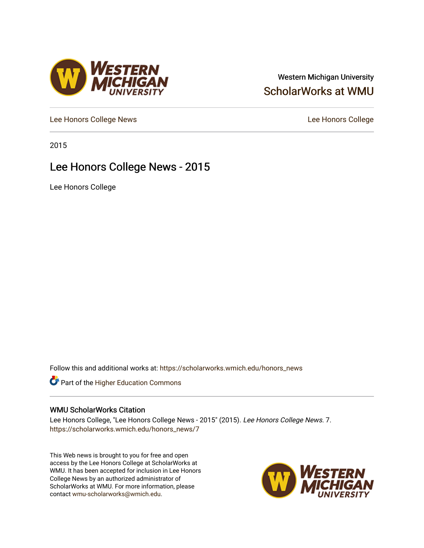### Western Michigan University [ScholarWorks at WMU](https://scholarworks.wmich.edu/)

[Lee Honors College News](https://scholarworks.wmich.edu/honors_news) **Lee Honors College** 

2015

### Lee Honors College News - 2015

Lee Honors College

Follow this and additional works at: [https://scholarworks.wmich.edu/honors\\_news](https://scholarworks.wmich.edu/honors_news?utm_source=scholarworks.wmich.edu%2Fhonors_news%2F7&utm_medium=PDF&utm_campaign=PDFCoverPages)



#### WMU ScholarWorks Citation

Lee Honors College, "Lee Honors College News - 2015" (2015). Lee Honors College News. 7. [https://scholarworks.wmich.edu/honors\\_news/7](https://scholarworks.wmich.edu/honors_news/7?utm_source=scholarworks.wmich.edu%2Fhonors_news%2F7&utm_medium=PDF&utm_campaign=PDFCoverPages) 

This Web news is brought to you for free and open access by the Lee Honors College at ScholarWorks at WMU. It has been accepted for inclusion in Lee Honors College News by an authorized administrator of ScholarWorks at WMU. For more information, please contact [wmu-scholarworks@wmich.edu](mailto:wmu-scholarworks@wmich.edu).



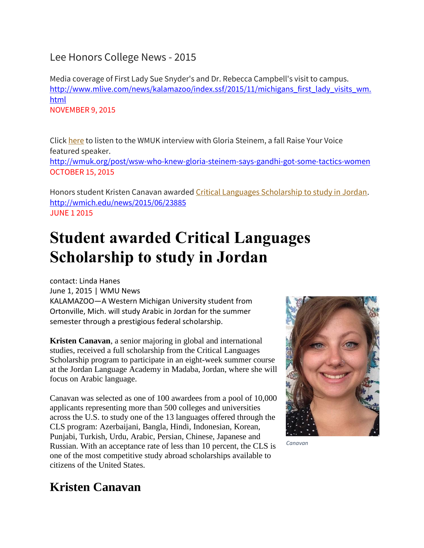### Lee Honors College News - 2015

Media coverage of First Lady Sue Snyder's and Dr. Rebecca Campbell's visit to campus. [http://www.mlive.com/news/kalamazoo/index.ssf/2015/11/michigans\\_first\\_lady\\_visits\\_wm.](http://www.mlive.com/news/kalamazoo/index.ssf/2015/11/michigans_first_lady_visits_wm.html) [html](http://www.mlive.com/news/kalamazoo/index.ssf/2015/11/michigans_first_lady_visits_wm.html) NOVEMBER 9, 2015

Click [here](http://wmuk.org/post/wsw-81-gloria-steinem-remains-traveling-organizer-still-loves-it) to listen to the WMUK interview with Gloria Steinem, a fall Raise Your Voice featured speaker.

<http://wmuk.org/post/wsw-who-knew-gloria-steinem-says-gandhi-got-some-tactics-women> OCTOBER 15, 2015

Honors student Kristen Canavan awarded Critical Languages Scholarship to study in Jordan. <http://wmich.edu/news/2015/06/23885> JUNE 1 2015

# **Student awarded Critical Languages Scholarship to study in Jordan**

contact: Linda Hanes

June 1, 2015 | WMU News

KALAMAZOO—A Western Michigan University student from Ortonville, Mich. will study Arabic in Jordan for the summer semester through a prestigious federal scholarship.

**Kristen Canavan**, a senior majoring in global and international studies, received a full scholarship from the Critical Languages Scholarship program to participate in an eight-week summer course at the Jordan Language Academy in Madaba, Jordan, where she will focus on Arabic language.

Canavan was selected as one of 100 awardees from a pool of 10,000 applicants representing more than 500 colleges and universities across the U.S. to study one of the 13 languages offered through the CLS program: Azerbaijani, Bangla, Hindi, Indonesian, Korean, Punjabi, Turkish, Urdu, Arabic, Persian, Chinese, Japanese and Russian. With an acceptance rate of less than 10 percent, the CLS is one of the most competitive study abroad scholarships available to citizens of the United States.



*Canavan*

### **Kristen Canavan**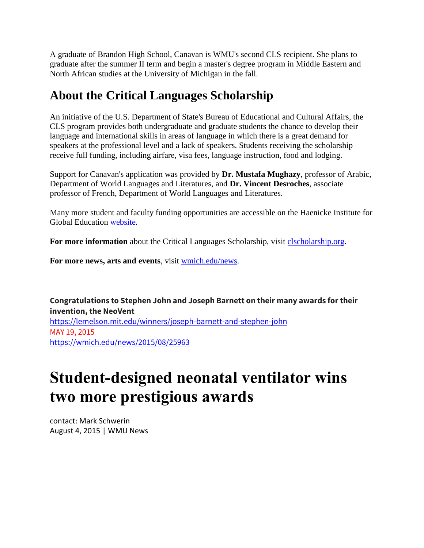A graduate of Brandon High School, Canavan is WMU's second CLS recipient. She plans to graduate after the summer II term and begin a master's degree program in Middle Eastern and North African studies at the University of Michigan in the fall.

### **About the Critical Languages Scholarship**

An initiative of the U.S. Department of State's Bureau of Educational and Cultural Affairs, the CLS program provides both undergraduate and graduate students the chance to develop their language and international skills in areas of language in which there is a great demand for speakers at the professional level and a lack of speakers. Students receiving the scholarship receive full funding, including airfare, visa fees, language instruction, food and lodging.

Support for Canavan's application was provided by **Dr. Mustafa Mughazy**, professor of Arabic, Department of World Languages and Literatures, and **Dr. Vincent Desroches**, associate professor of French, Department of World Languages and Literatures.

Many more student and faculty funding opportunities are accessible on the Haenicke Institute for Global Education [website.](http://wmich.edu/international)

For more information about the Critical Languages Scholarship, visit [clscholarship.org.](http://www.clscholarship.org/)

**For more news, arts and events**, visit [wmich.edu/news.](http://wmich.edu/news)

**Congratulations to Stephen John and Joseph Barnett on their many awards for their invention, the NeoVent** <https://lemelson.mit.edu/winners/joseph-barnett-and-stephen-john> MAY 19, 2015 <https://wmich.edu/news/2015/08/25963>

## **Student-designed neonatal ventilator wins two more prestigious awards**

contact: Mark Schwerin August 4, 2015 | WMU News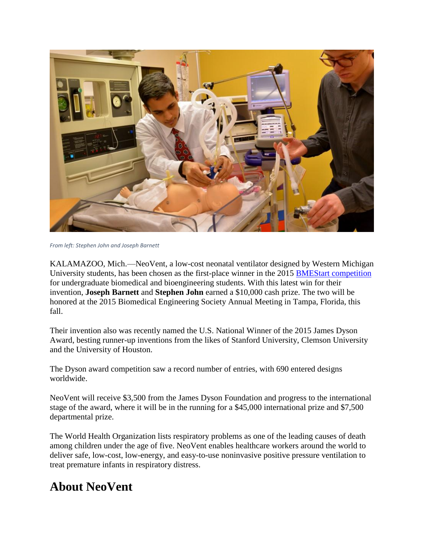

*From left: Stephen John and Joseph Barnett*

KALAMAZOO, Mich.—NeoVent, a low-cost neonatal ventilator designed by Western Michigan University students, has been chosen as the first-place winner in the 2015 [BMEStart competition](http://venturewell.org/students/bmestart/bmestart-winners-2015) for undergraduate biomedical and bioengineering students. With this latest win for their invention, **Joseph Barnett** and **Stephen John** earned a \$10,000 cash prize. The two will be honored at the 2015 Biomedical Engineering Society Annual Meeting in Tampa, Florida, this fall.

Their invention also was recently named the U.S. National Winner of the 2015 James Dyson Award, besting runner-up inventions from the likes of Stanford University, Clemson University and the University of Houston.

The Dyson award competition saw a record number of entries, with 690 entered designs worldwide.

NeoVent will receive \$3,500 from the James Dyson Foundation and progress to the international stage of the award, where it will be in the running for a \$45,000 international prize and \$7,500 departmental prize.

The World Health Organization lists respiratory problems as one of the leading causes of death among children under the age of five. NeoVent enables healthcare workers around the world to deliver safe, low-cost, low-energy, and easy-to-use noninvasive positive pressure ventilation to treat premature infants in respiratory distress.

### **About NeoVent**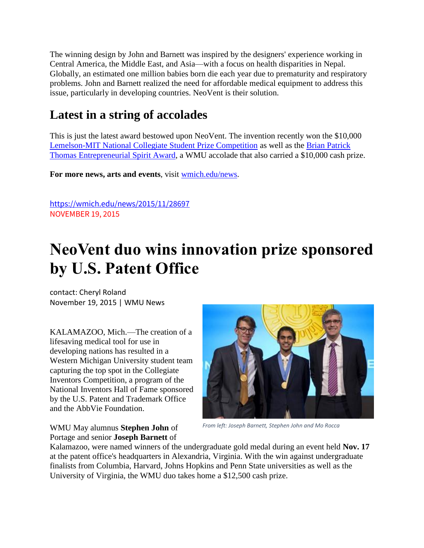The winning design by John and Barnett was inspired by the designers' experience working in Central America, the Middle East, and Asia—with a focus on health disparities in Nepal. Globally, an estimated one million babies born die each year due to prematurity and respiratory problems. John and Barnett realized the need for affordable medical equipment to address this issue, particularly in developing countries. NeoVent is their solution.

## **Latest in a string of accolades**

This is just the latest award bestowed upon NeoVent. The invention recently won the \$10,000 [Lemelson-MIT National Collegiate Student Prize Competition](https://wmich.edu/news/2015/05/24028) as well as the [Brian Patrick](https://wmich.edu/news/2015/07/25223)  [Thomas Entrepreneurial Spirit Award,](https://wmich.edu/news/2015/07/25223) a WMU accolade that also carried a \$10,000 cash prize.

**For more news, arts and events**, visit [wmich.edu/news.](https://wmich.edu/news)

<https://wmich.edu/news/2015/11/28697> NOVEMBER 19, 2015

# **NeoVent duo wins innovation prize sponsored by U.S. Patent Office**

contact: Cheryl Roland November 19, 2015 | WMU News

KALAMAZOO, Mich.—The creation of a lifesaving medical tool for use in developing nations has resulted in a Western Michigan University student team capturing the top spot in the Collegiate Inventors Competition, a program of the National Inventors Hall of Fame sponsored by the U.S. Patent and Trademark Office and the AbbVie Foundation.

WMU May alumnus **Stephen John** of Portage and senior **Joseph Barnett** of



*From left: Joseph Barnett, Stephen John and Mo Rocca*

Kalamazoo, were named winners of the undergraduate gold medal during an event held **Nov. 17** at the patent office's headquarters in Alexandria, Virginia. With the win against undergraduate finalists from Columbia, Harvard, Johns Hopkins and Penn State universities as well as the University of Virginia, the WMU duo takes home a \$12,500 cash prize.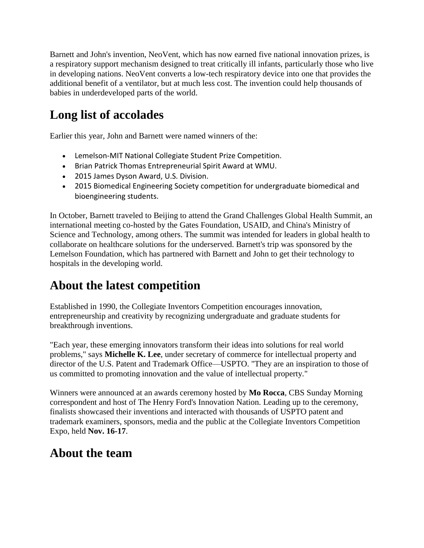Barnett and John's invention, NeoVent, which has now earned five national innovation prizes, is a respiratory support mechanism designed to treat critically ill infants, particularly those who live in developing nations. NeoVent converts a low-tech respiratory device into one that provides the additional benefit of a ventilator, but at much less cost. The invention could help thousands of babies in underdeveloped parts of the world.

## **Long list of accolades**

Earlier this year, John and Barnett were named winners of the:

- Lemelson-MIT National Collegiate Student Prize Competition.
- Brian Patrick Thomas Entrepreneurial Spirit Award at WMU.
- 2015 James Dyson Award, U.S. Division.
- 2015 Biomedical Engineering Society competition for undergraduate biomedical and bioengineering students.

In October, Barnett traveled to Beijing to attend the Grand Challenges Global Health Summit, an international meeting co-hosted by the Gates Foundation, USAID, and China's Ministry of Science and Technology, among others. The summit was intended for leaders in global health to collaborate on healthcare solutions for the underserved. Barnett's trip was sponsored by the Lemelson Foundation, which has partnered with Barnett and John to get their technology to hospitals in the developing world.

## **About the latest competition**

Established in 1990, the Collegiate Inventors Competition encourages innovation, entrepreneurship and creativity by recognizing undergraduate and graduate students for breakthrough inventions.

"Each year, these emerging innovators transform their ideas into solutions for real world problems," says **Michelle K. Lee**, under secretary of commerce for intellectual property and director of the U.S. Patent and Trademark Office—USPTO. "They are an inspiration to those of us committed to promoting innovation and the value of intellectual property."

Winners were announced at an awards ceremony hosted by **Mo Rocca**, CBS Sunday Morning correspondent and host of The Henry Ford's Innovation Nation. Leading up to the ceremony, finalists showcased their inventions and interacted with thousands of USPTO patent and trademark examiners, sponsors, media and the public at the Collegiate Inventors Competition Expo, held **Nov. 16-17**.

### **About the team**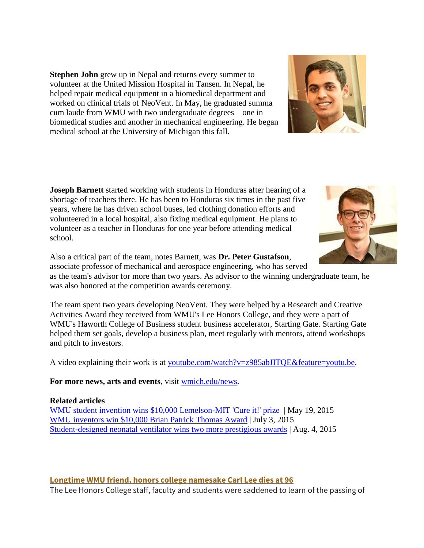**Stephen John** grew up in Nepal and returns every summer to volunteer at the United Mission Hospital in Tansen. In Nepal, he helped repair medical equipment in a biomedical department and worked on clinical trials of NeoVent. In May, he graduated summa cum laude from WMU with two undergraduate degrees—one in biomedical studies and another in mechanical engineering. He began medical school at the University of Michigan this fall.

**Joseph Barnett** started working with students in Honduras after hearing of a shortage of teachers there. He has been to Honduras six times in the past five years, where he has driven school buses, led clothing donation efforts and volunteered in a local hospital, also fixing medical equipment. He plans to volunteer as a teacher in Honduras for one year before attending medical school.

Also a critical part of the team, notes Barnett, was **Dr. Peter Gustafson**, associate professor of mechanical and aerospace engineering, who has served as the team's advisor for more than two years. As advisor to the winning undergraduate team, he was also honored at the competition awards ceremony.

The team spent two years developing NeoVent. They were helped by a Research and Creative Activities Award they received from WMU's Lee Honors College, and they were a part of WMU's Haworth College of Business student business accelerator, Starting Gate. Starting Gate helped them set goals, develop a business plan, meet regularly with mentors, attend workshops and pitch to investors.

A video explaining their work is at [youtube.com/watch?v=z985abJITQE&feature=youtu.be.](https://www.youtube.com/watch?v=z985abJITQE&feature=youtu.be)

**For more news, arts and events**, visit [wmich.edu/news.](https://wmich.edu/news)

#### **Related articles**

[WMU student invention wins \\$10,000 Lemelson-MIT 'Cure it!' prize](https://wmich.edu/news/2015/05/24028) | May 19, 2015 [WMU inventors win \\$10,000 Brian Patrick Thomas Award](https://wmich.edu/news/2015/07/25223) | July 3, 2015 [Student-designed neonatal ventilator wins two more prestigious awards](https://wmich.edu/news/2015/08/25963) | Aug. 4, 2015

#### **Longtime WMU friend, honors college namesake Carl Lee dies at 96**

The Lee Honors College staff, faculty and students were saddened to learn of the passing of



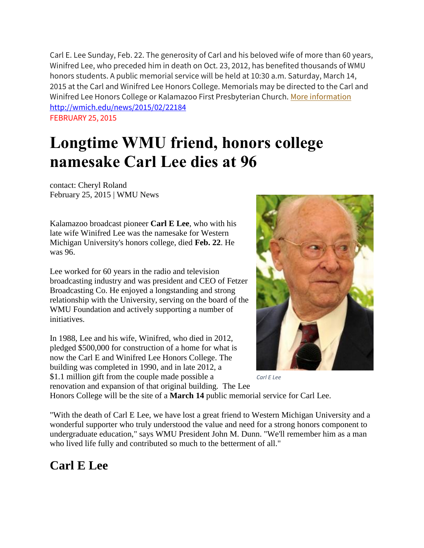Carl E. Lee Sunday, Feb. 22. The generosity of Carl and his beloved wife of more than 60 years, Winifred Lee, who preceded him in death on Oct. 23, 2012, has benefited thousands of WMU honors students. A public memorial service will be held at 10:30 a.m. Saturday, March 14, 2015 at the Carl and Winifred Lee Honors College. Memorials may be directed to the Carl and Winifred Lee Honors College or Kalamazoo First Presbyterian Church. [More information](http://wmich.edu/news/2015/02/22184) <http://wmich.edu/news/2015/02/22184> FEBRUARY 25, 2015

# **Longtime WMU friend, honors college namesake Carl Lee dies at 96**

contact: Cheryl Roland February 25, 2015 | WMU News

Kalamazoo broadcast pioneer **Carl E Lee**, who with his late wife Winifred Lee was the namesake for Western Michigan University's honors college, died **Feb. 22**. He was 96.

Lee worked for 60 years in the radio and television broadcasting industry and was president and CEO of Fetzer Broadcasting Co. He enjoyed a longstanding and strong relationship with the University, serving on the board of the WMU Foundation and actively supporting a number of initiatives.

In 1988, Lee and his wife, Winifred, who died in 2012, pledged \$500,000 for construction of a home for what is now the Carl E and Winifred Lee Honors College. The building was completed in 1990, and in late 2012, a \$1.1 million gift from the couple made possible a renovation and expansion of that original building. The Lee



*Carl E Lee*

Honors College will be the site of a **March 14** public memorial service for Carl Lee.

"With the death of Carl E Lee, we have lost a great friend to Western Michigan University and a wonderful supporter who truly understood the value and need for a strong honors component to undergraduate education," says WMU President John M. Dunn. "We'll remember him as a man who lived life fully and contributed so much to the betterment of all."

### **Carl E Lee**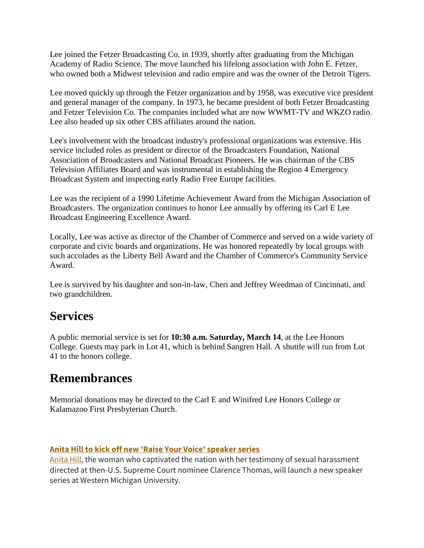Lee joined the Fetzer Broadcasting Co. in 1939, shortly after graduating from the Michigan Academy of Radio Science. The move launched his lifelong association with John E. Fetzer, who owned both a Midwest television and radio empire and was the owner of the Detroit Tigers.

Lee moved quickly up through the Fetzer organization and by 1958, was executive vice president and general manager of the company. In 1973, he became president of both Fetzer Broadcasting and Fetzer Television Co. The companies included what are now WWMT-TV and WKZO radio. Lee also headed up six other CBS affiliates around the nation.

Lee's involvement with the broadcast industry's professional organizations was extensive. His service included roles as president or director of the Broadcasters Foundation, National Association of Broadcasters and National Broadcast Pioneers. He was chairman of the CBS Television Affiliates Board and was instrumental in establishing the Region 4 Emergency Broadcast System and inspecting early Radio Free Europe facilities.

Lee was the recipient of a 1990 Lifetime Achievement Award from the Michigan Association of Broadcasters. The organization continues to honor Lee annually by offering its Carl E Lee Broadcast Engineering Excellence Award.

Locally, Lee was active as director of the Chamber of Commerce and served on a wide variety of corporate and civic boards and organizations. He was honored repeatedly by local groups with such accolades as the Liberty Bell Award and the Chamber of Commerce's Community Service Award.

Lee is survived by his daughter and son-in-law, Cheri and Jeffrey Weedman of Cincinnati, and two grandchildren.

### **Services**

A public memorial service is set for **10:30 a.m. Saturday, March 14**, at the Lee Honors College. Guests may park in Lot 41, which is behind Sangren Hall. A shuttle will run from Lot 41 to the honors college.

### **Remembrances**

Memorial donations may be directed to the Carl E and Winifred Lee Honors College or Kalamazoo First Presbyterian Church.

#### **Anita Hill to kick off new 'Raise Your Voice' speaker series**

[Anita Hill,](http://wmich.edu/news/2015/01/21125) the woman who captivated the nation with her testimony of sexual harassment directed at then-U.S. Supreme Court nominee Clarence Thomas, will launch a new speaker series at Western Michigan University.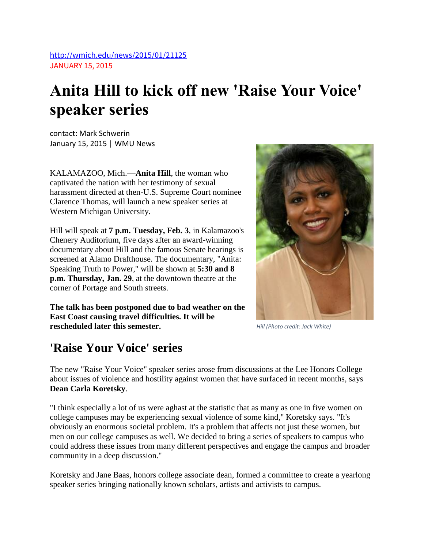<http://wmich.edu/news/2015/01/21125> JANUARY 15, 2015

# **Anita Hill to kick off new 'Raise Your Voice' speaker series**

contact: Mark Schwerin January 15, 2015 | WMU News

KALAMAZOO, Mich.—**Anita Hill**, the woman who captivated the nation with her testimony of sexual harassment directed at then-U.S. Supreme Court nominee Clarence Thomas, will launch a new speaker series at Western Michigan University.

Hill will speak at **7 p.m. Tuesday, Feb. 3**, in Kalamazoo's Chenery Auditorium, five days after an award-winning documentary about Hill and the famous Senate hearings is screened at Alamo Drafthouse. The documentary, "Anita: Speaking Truth to Power," will be shown at **5:30 and 8 p.m. Thursday, Jan. 29**, at the downtown theatre at the corner of Portage and South streets.

**The talk has been postponed due to bad weather on the East Coast causing travel difficulties. It will be rescheduled later this semester.**

*Hill (Photo credit: Jack White)*

### **'Raise Your Voice' series**

The new "Raise Your Voice" speaker series arose from discussions at the Lee Honors College about issues of violence and hostility against women that have surfaced in recent months, says **Dean Carla Koretsky**.

"I think especially a lot of us were aghast at the statistic that as many as one in five women on college campuses may be experiencing sexual violence of some kind," Koretsky says. "It's obviously an enormous societal problem. It's a problem that affects not just these women, but men on our college campuses as well. We decided to bring a series of speakers to campus who could address these issues from many different perspectives and engage the campus and broader community in a deep discussion."

Koretsky and Jane Baas, honors college associate dean, formed a committee to create a yearlong speaker series bringing nationally known scholars, artists and activists to campus.

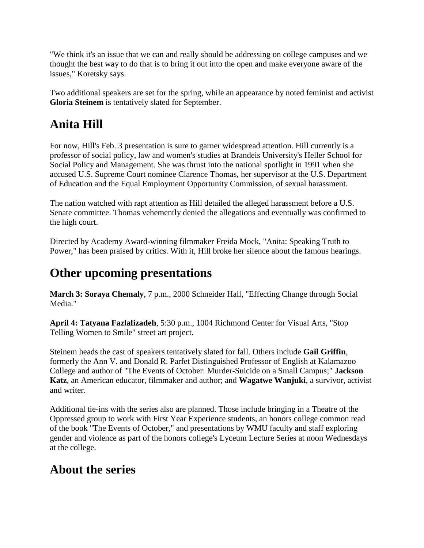"We think it's an issue that we can and really should be addressing on college campuses and we thought the best way to do that is to bring it out into the open and make everyone aware of the issues," Koretsky says.

Two additional speakers are set for the spring, while an appearance by noted feminist and activist **Gloria Steinem** is tentatively slated for September.

### **Anita Hill**

For now, Hill's Feb. 3 presentation is sure to garner widespread attention. Hill currently is a professor of social policy, law and women's studies at Brandeis University's Heller School for Social Policy and Management. She was thrust into the national spotlight in 1991 when she accused U.S. Supreme Court nominee Clarence Thomas, her supervisor at the U.S. Department of Education and the Equal Employment Opportunity Commission, of sexual harassment.

The nation watched with rapt attention as Hill detailed the alleged harassment before a U.S. Senate committee. Thomas vehemently denied the allegations and eventually was confirmed to the high court.

Directed by Academy Award-winning filmmaker Freida Mock, "Anita: Speaking Truth to Power," has been praised by critics. With it, Hill broke her silence about the famous hearings.

## **Other upcoming presentations**

**March 3: Soraya Chemaly**, 7 p.m., 2000 Schneider Hall, "Effecting Change through Social Media."

**April 4: Tatyana Fazlalizadeh**, 5:30 p.m., 1004 Richmond Center for Visual Arts, "Stop Telling Women to Smile" street art project.

Steinem heads the cast of speakers tentatively slated for fall. Others include **Gail Griffin**, formerly the Ann V. and Donald R. Parfet Distinguished Professor of English at Kalamazoo College and author of "The Events of October: Murder-Suicide on a Small Campus;" **Jackson Katz**, an American educator, filmmaker and author; and **Wagatwe Wanjuki**, a survivor, activist and writer.

Additional tie-ins with the series also are planned. Those include bringing in a Theatre of the Oppressed group to work with First Year Experience students, an honors college common read of the book "The Events of October," and presentations by WMU faculty and staff exploring gender and violence as part of the honors college's Lyceum Lecture Series at noon Wednesdays at the college.

### **About the series**